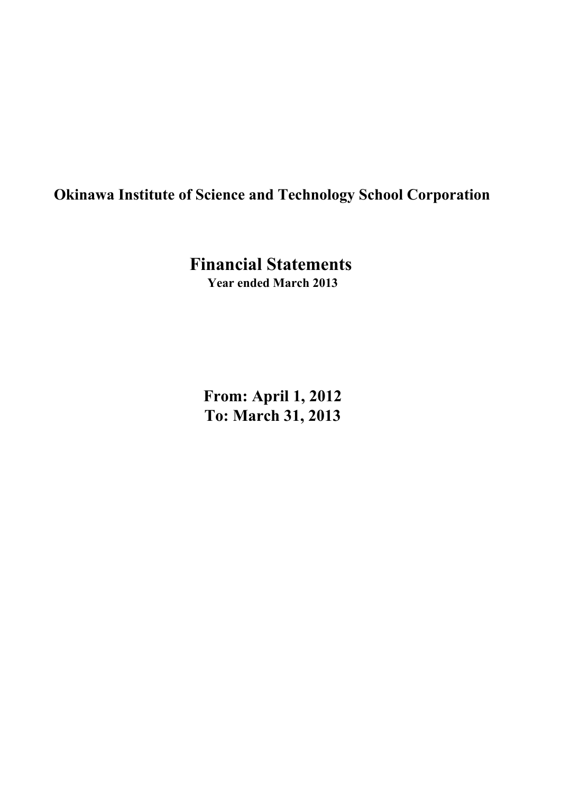# **Okinawa Institute of Science and Technology School Corporation**

**Financial Statements Year ended March 2013**

**From: April 1, 2012 To: March 31, 2013**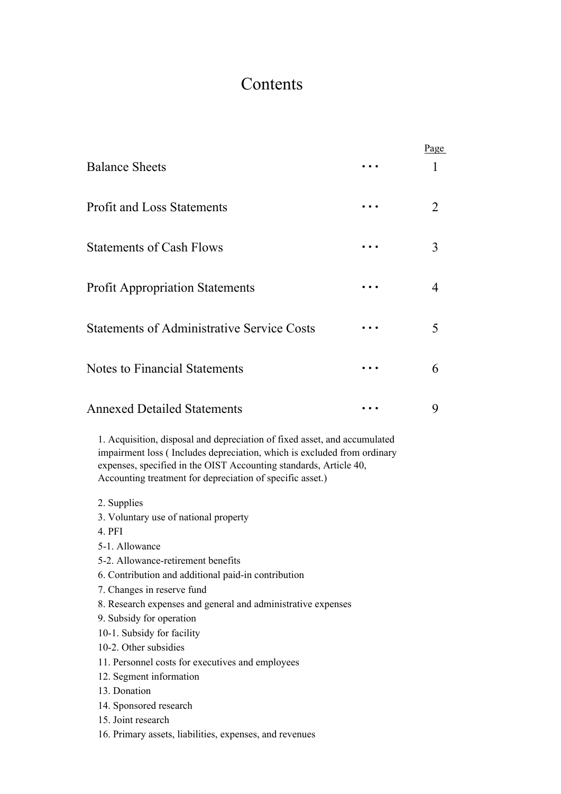# Contents

|                                                                                                                                                                                                                                                                                        | Page |
|----------------------------------------------------------------------------------------------------------------------------------------------------------------------------------------------------------------------------------------------------------------------------------------|------|
| <b>Balance Sheets</b>                                                                                                                                                                                                                                                                  | 1    |
| <b>Profit and Loss Statements</b>                                                                                                                                                                                                                                                      | 2    |
| <b>Statements of Cash Flows</b>                                                                                                                                                                                                                                                        | 3    |
| <b>Profit Appropriation Statements</b>                                                                                                                                                                                                                                                 | 4    |
| <b>Statements of Administrative Service Costs</b>                                                                                                                                                                                                                                      | 5    |
| <b>Notes to Financial Statements</b>                                                                                                                                                                                                                                                   | 6    |
| <b>Annexed Detailed Statements</b>                                                                                                                                                                                                                                                     | 9    |
| 1. Acquisition, disposal and depreciation of fixed asset, and accumulated<br>impairment loss (Includes depreciation, which is excluded from ordinary<br>expenses, specified in the OIST Accounting standards, Article 40,<br>Accounting treatment for depreciation of specific asset.) |      |
| 2. Supplies<br>3. Voluntary use of national property<br>4. PFI<br>5-1. Allowance                                                                                                                                                                                                       |      |
| 5-2. Allowance-retirement benefits                                                                                                                                                                                                                                                     |      |
| 6. Contribution and additional paid-in contribution<br>7. Changes in reserve fund                                                                                                                                                                                                      |      |
| 8. Research expenses and general and administrative expenses<br>9. Subsidy for operation                                                                                                                                                                                               |      |
| 10-1. Subsidy for facility                                                                                                                                                                                                                                                             |      |
| 10-2. Other subsidies                                                                                                                                                                                                                                                                  |      |
| 11. Personnel costs for executives and employees<br>12. Segment information                                                                                                                                                                                                            |      |
| 13. Donation                                                                                                                                                                                                                                                                           |      |
| 14. Sponsored research                                                                                                                                                                                                                                                                 |      |
| 15. Joint research                                                                                                                                                                                                                                                                     |      |
| 16. Primary assets, liabilities, expenses, and revenues                                                                                                                                                                                                                                |      |
|                                                                                                                                                                                                                                                                                        |      |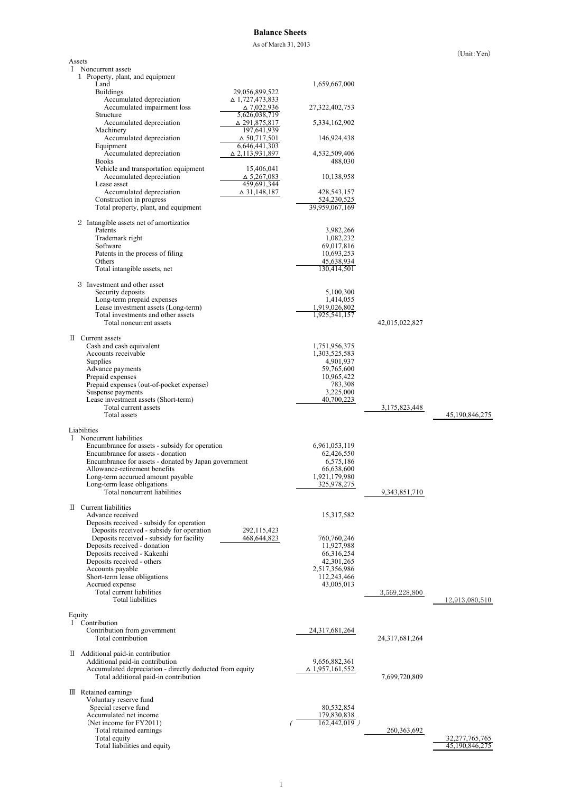## **Balance Sheets**

As of March 31, 2013

|        |                                                                                             |                                      |                                  |                | $\text{Unii}: \text{ren}$ |
|--------|---------------------------------------------------------------------------------------------|--------------------------------------|----------------------------------|----------------|---------------------------|
| Assets | I Noncurrent assets                                                                         |                                      |                                  |                |                           |
|        | 1 Property, plant, and equipment                                                            |                                      |                                  |                |                           |
|        | Land<br><b>Buildings</b><br>29,056,899,522                                                  |                                      | 1,659,667,000                    |                |                           |
|        | Accumulated depreciation<br>△ 1,727,473,833                                                 |                                      |                                  |                |                           |
|        | Accumulated impairment loss<br>Structure                                                    | $\Delta$ 7,022,936<br>5,626,038,719  | 27,322,402,753                   |                |                           |
|        | Accumulated depreciation<br>Machinery                                                       | △ 291,875,817<br>197,641,939         | 5,334,162,902                    |                |                           |
|        | Accumulated depreciation<br>Equipment                                                       | $\Delta$ 50,717,501<br>6,646,441,303 | 146,924,438                      |                |                           |
|        | Accumulated depreciation<br>∆ 2,113,931,897                                                 |                                      | 4,532,509,406                    |                |                           |
|        | <b>Books</b><br>Vehicle and transportation equipment                                        | 15,406,041                           | 488,030                          |                |                           |
|        | Accumulated depreciation<br>Lease asset                                                     | $\Delta$ 5,267,083<br>459,691,344    | 10,138,958                       |                |                           |
|        | Accumulated depreciation<br>Construction in progress                                        | △ 31,148,187                         | 428,543,157<br>524,230,525       |                |                           |
|        | Total property, plant, and equipment                                                        |                                      | 39,959,067,169                   |                |                           |
|        | 2 Intangible assets net of amortization                                                     |                                      |                                  |                |                           |
|        | Patents<br>Trademark right                                                                  |                                      | 3,982,266<br>1,082,232           |                |                           |
|        | Software                                                                                    |                                      | 69,017,816                       |                |                           |
|        | Patents in the process of filing                                                            |                                      | 10,693,253                       |                |                           |
|        | Others<br>Total intangible assets, net                                                      |                                      | 45,638,934<br>130,414,501        |                |                           |
|        |                                                                                             |                                      |                                  |                |                           |
|        | 3 Investment and other asset<br>Security deposits                                           |                                      | 5,100,300                        |                |                           |
|        | Long-term prepaid expenses                                                                  |                                      | 1,414,055                        |                |                           |
|        | Lease investment assets (Long-term)<br>Total investments and other assets                   |                                      | 1,919,026,802<br>1,925,541,157   |                |                           |
|        | Total noncurrent assets                                                                     |                                      |                                  | 42,015,022,827 |                           |
|        | II Current assets                                                                           |                                      |                                  |                |                           |
|        | Cash and cash equivalent<br>Accounts receivable                                             |                                      | 1,751,956,375<br>1,303,525,583   |                |                           |
|        | Supplies                                                                                    |                                      | 4,901,937                        |                |                           |
|        | Advance payments                                                                            |                                      | 59,765,600                       |                |                           |
|        | Prepaid expenses<br>Prepaid expenses (out-of-pocket expenses)                               |                                      | 10,965,422<br>783,308            |                |                           |
|        | Suspense payments                                                                           |                                      | 3,225,000                        |                |                           |
|        | Lease investment assets (Short-term)<br>Total current assets                                |                                      | 40,700,223                       | 3,175,823,448  |                           |
|        | Total assets                                                                                |                                      |                                  |                | 45,190,846,275            |
|        | Liabilities                                                                                 |                                      |                                  |                |                           |
| L      | Noncurrent liabilities                                                                      |                                      |                                  |                |                           |
|        | Encumbrance for assets - subsidy for operation<br>Encumbrance for assets - donation         |                                      | 6,961,053,119<br>62,426,550      |                |                           |
|        | Encumbrance for assets - donated by Japan government                                        |                                      | 6,575,186                        |                |                           |
|        | Allowance-retirement benefits                                                               |                                      | 66,638,600                       |                |                           |
|        | Long-term accurued amount payable<br>Long-term lease obligations                            |                                      | 1,921,179,980<br>325,978,275     |                |                           |
|        | Total noncurrent liabilities                                                                |                                      |                                  | 9,343,851,710  |                           |
|        | II Current liabilities                                                                      |                                      |                                  |                |                           |
|        | Advance received<br>Deposits received - subsidy for operation                               |                                      | 15,317,582                       |                |                           |
|        | Deposits received - subsidy for operation                                                   | 292,115,423                          |                                  |                |                           |
|        | Deposits received - subsidy for facility<br>Deposits received - donation                    | 468,644,823                          | 760,760,246<br>11,927,988        |                |                           |
|        | Deposits received - Kakenhi                                                                 |                                      | 66,316,254                       |                |                           |
|        | Deposits received - others                                                                  |                                      | 42, 301, 265                     |                |                           |
|        | Accounts payable<br>Short-term lease obligations                                            |                                      | 2,517,356,986<br>112,243,466     |                |                           |
|        | Accrued expense                                                                             |                                      | 43,005,013                       |                |                           |
|        | Total current liabilities<br><b>Total liabilities</b>                                       |                                      |                                  | 3,569,228,800  | 12,913,080,510            |
|        |                                                                                             |                                      |                                  |                |                           |
| Equity | I Contribution                                                                              |                                      |                                  |                |                           |
|        | Contribution from government                                                                |                                      | 24,317,681,264                   |                |                           |
|        | Total contribution                                                                          |                                      |                                  | 24,317,681,264 |                           |
|        | II Additional paid-in contribution                                                          |                                      |                                  |                |                           |
|        | Additional paid-in contribution<br>Accumulated depreciation - directly deducted from equity |                                      | 9,656,882,361<br>∆ 1,957,161,552 |                |                           |
|        | Total additional paid-in contribution                                                       |                                      |                                  | 7,699,720,809  |                           |
|        | III Retained earnings                                                                       |                                      |                                  |                |                           |
|        | Voluntary reserve fund<br>Special reserve fund                                              |                                      | 80,532,854                       |                |                           |
|        | Accumulated net income                                                                      |                                      | 179,830,838                      |                |                           |
|        | (Net income for FY2011)                                                                     |                                      | $162,442,019$ )                  |                |                           |
|        | Total retained earnings<br>Total equity                                                     |                                      |                                  | 260, 363, 692  | 32,277,765,765            |
|        | Total liabilities and equity                                                                |                                      |                                  |                | 45,190,846,275            |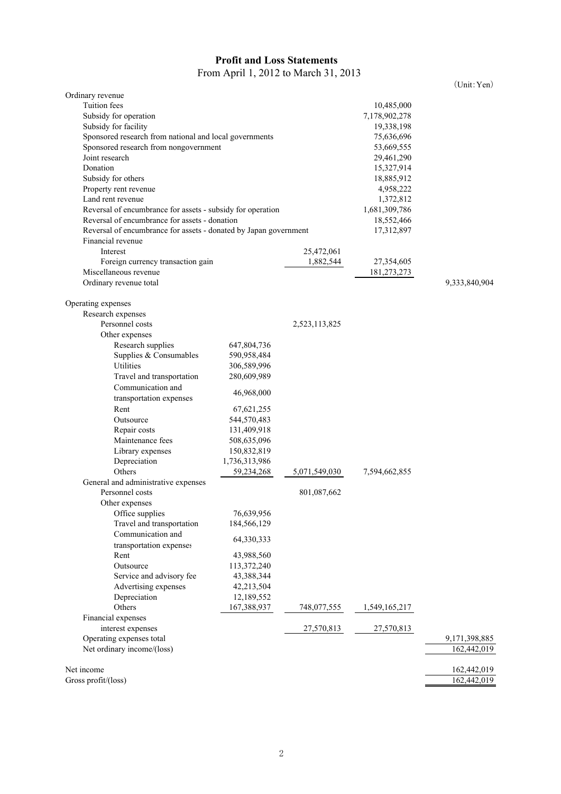# **Profit and Loss Statements** From April 1, 2012 to March 31, 2013

(Unit:Yen)

| Ordinary revenue                                                 |                            |               |               |                  |
|------------------------------------------------------------------|----------------------------|---------------|---------------|------------------|
| <b>Tuition</b> fees                                              |                            |               | 10,485,000    |                  |
| Subsidy for operation                                            |                            |               | 7,178,902,278 |                  |
| Subsidy for facility                                             |                            |               | 19,338,198    |                  |
| Sponsored research from national and local governments           |                            |               | 75,636,696    |                  |
| Sponsored research from nongovernment                            |                            |               | 53,669,555    |                  |
| Joint research                                                   |                            |               | 29,461,290    |                  |
| Donation                                                         |                            |               |               |                  |
|                                                                  |                            |               | 15,327,914    |                  |
| Subsidy for others                                               |                            |               | 18,885,912    |                  |
| Property rent revenue                                            |                            |               | 4,958,222     |                  |
| Land rent revenue                                                |                            |               | 1,372,812     |                  |
| Reversal of encumbrance for assets - subsidy for operation       |                            |               | 1,681,309,786 |                  |
| Reversal of encumbrance for assets - donation                    |                            |               | 18,552,466    |                  |
| Reversal of encumbrance for assets - donated by Japan government |                            |               | 17,312,897    |                  |
| Financial revenue                                                |                            |               |               |                  |
| Interest                                                         |                            | 25,472,061    |               |                  |
| Foreign currency transaction gain                                |                            | 1,882,544     | 27,354,605    |                  |
| Miscellaneous revenue                                            |                            |               | 181,273,273   |                  |
| Ordinary revenue total                                           |                            |               |               | 9,333,840,904    |
|                                                                  |                            |               |               |                  |
| Operating expenses<br>Research expenses                          |                            |               |               |                  |
| Personnel costs                                                  |                            | 2,523,113,825 |               |                  |
|                                                                  |                            |               |               |                  |
| Other expenses<br>Research supplies                              |                            |               |               |                  |
| Supplies & Consumables                                           | 647,804,736<br>590,958,484 |               |               |                  |
| Utilities                                                        |                            |               |               |                  |
|                                                                  | 306,589,996                |               |               |                  |
| Travel and transportation                                        | 280,609,989                |               |               |                  |
| Communication and                                                | 46,968,000                 |               |               |                  |
| transportation expenses                                          |                            |               |               |                  |
| Rent                                                             | 67, 621, 255               |               |               |                  |
| Outsource                                                        | 544,570,483                |               |               |                  |
| Repair costs                                                     | 131,409,918                |               |               |                  |
| Maintenance fees                                                 | 508,635,096                |               |               |                  |
| Library expenses                                                 | 150,832,819                |               |               |                  |
| Depreciation                                                     | 1,736,313,986              |               |               |                  |
| Others                                                           | 59,234,268                 | 5,071,549,030 | 7,594,662,855 |                  |
| General and administrative expenses                              |                            |               |               |                  |
| Personnel costs                                                  |                            | 801,087,662   |               |                  |
| Other expenses                                                   |                            |               |               |                  |
| Office supplies                                                  | 76,639,956                 |               |               |                  |
| Travel and transportation                                        | 184,566,129                |               |               |                  |
| Communication and                                                | 64,330,333                 |               |               |                  |
| transportation expenses                                          |                            |               |               |                  |
| Rent                                                             | 43,988,560                 |               |               |                  |
| Outsource                                                        | 113,372,240                |               |               |                  |
| Service and advisory fee                                         | 43,388,344                 |               |               |                  |
| Advertising expenses                                             | 42,213,504                 |               |               |                  |
| Depreciation                                                     | 12,189,552                 |               |               |                  |
| Others                                                           | 167,388,937                | 748,077,555   | 1,549,165,217 |                  |
| Financial expenses                                               |                            |               |               |                  |
| interest expenses                                                |                            | 27,570,813    | 27,570,813    |                  |
| Operating expenses total                                         |                            |               |               | 9, 171, 398, 885 |
| Net ordinary income/(loss)                                       |                            |               |               | 162,442,019      |
|                                                                  |                            |               |               |                  |
| Net income                                                       |                            |               |               | 162,442,019      |
| Gross profit/(loss)                                              |                            |               |               | 162,442,019      |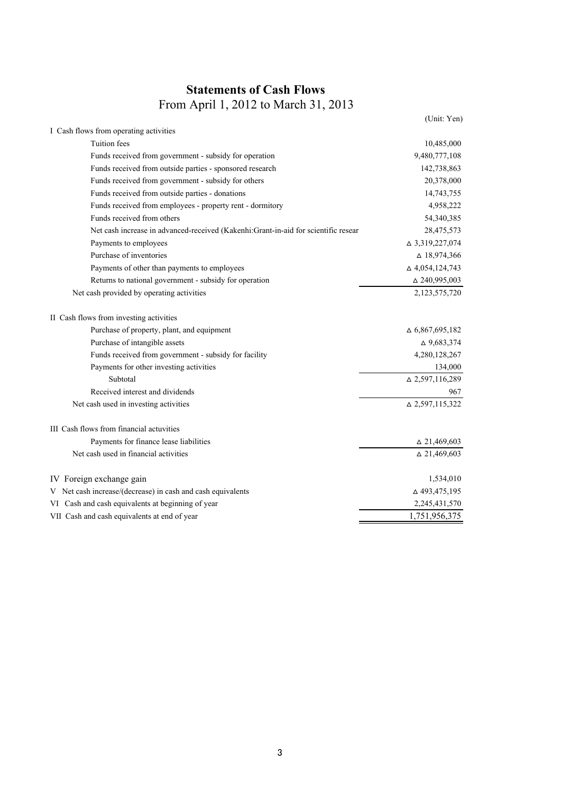# **Statements of Cash Flows** From April 1, 2012 to March 31, 2013

|                                                                                    | (Unit: Yen)            |
|------------------------------------------------------------------------------------|------------------------|
| I Cash flows from operating activities                                             |                        |
| Tuition fees                                                                       | 10,485,000             |
| Funds received from government - subsidy for operation                             | 9,480,777,108          |
| Funds received from outside parties - sponsored research                           | 142,738,863            |
| Funds received from government - subsidy for others                                | 20,378,000             |
| Funds received from outside parties - donations                                    | 14,743,755             |
| Funds received from employees - property rent - dormitory                          | 4,958,222              |
| Funds received from others                                                         | 54,340,385             |
| Net cash increase in advanced-received (Kakenhi:Grant-in-aid for scientific resear | 28,475,573             |
| Payments to employees                                                              | △ 3,319,227,074        |
| Purchase of inventories                                                            | $\Delta$ 18,974,366    |
| Payments of other than payments to employees                                       | $\Delta$ 4,054,124,743 |
| Returns to national government - subsidy for operation                             | $\Delta$ 240,995,003   |
| Net cash provided by operating activities                                          | 2,123,575,720          |
| II Cash flows from investing activities                                            |                        |
| Purchase of property, plant, and equipment                                         | $\Delta$ 6,867,695,182 |
| Purchase of intangible assets                                                      | $\Delta$ 9,683,374     |
| Funds received from government - subsidy for facility                              | 4,280,128,267          |
| Payments for other investing activities                                            | 134,000                |
| Subtotal                                                                           | $\Delta$ 2,597,116,289 |
| Received interest and dividends                                                    | 967                    |
| Net cash used in investing activities                                              | $\Delta$ 2,597,115,322 |
| III Cash flows from financial actuvities                                           |                        |
| Payments for finance lease liabilities                                             | $\triangle$ 21,469,603 |
| Net cash used in financial activities                                              | $\Delta$ 21,469,603    |
| IV Foreign exchange gain                                                           | 1,534,010              |
| V Net cash increase/(decrease) in cash and cash equivalents                        | △493,475,195           |
| VI Cash and cash equivalents at beginning of year                                  | 2,245,431,570          |
| VII Cash and cash equivalents at end of year                                       | 1,751,956,375          |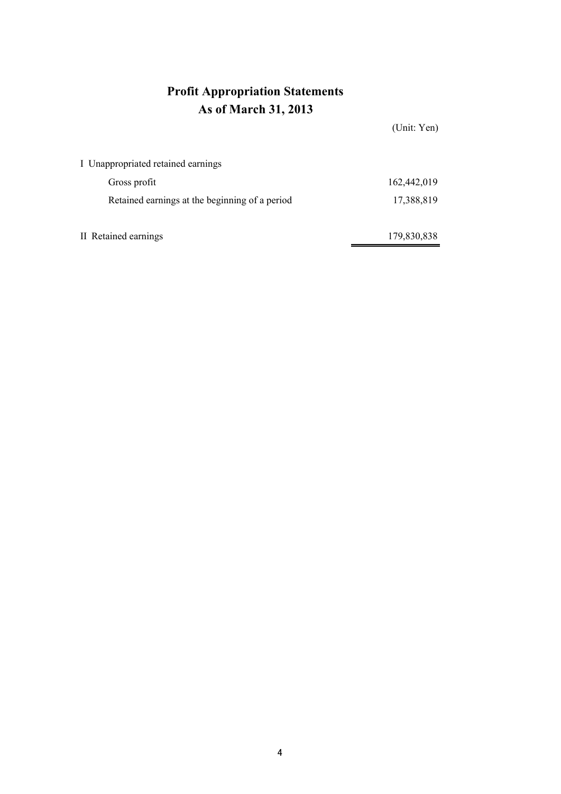# **Profit Appropriation Statements As of March 31, 2013**

|                                                | (Unit: Yen) |
|------------------------------------------------|-------------|
| I Unappropriated retained earnings             |             |
| Gross profit                                   | 162,442,019 |
| Retained earnings at the beginning of a period | 17,388,819  |
|                                                |             |
| II Retained earnings                           | 179,830,838 |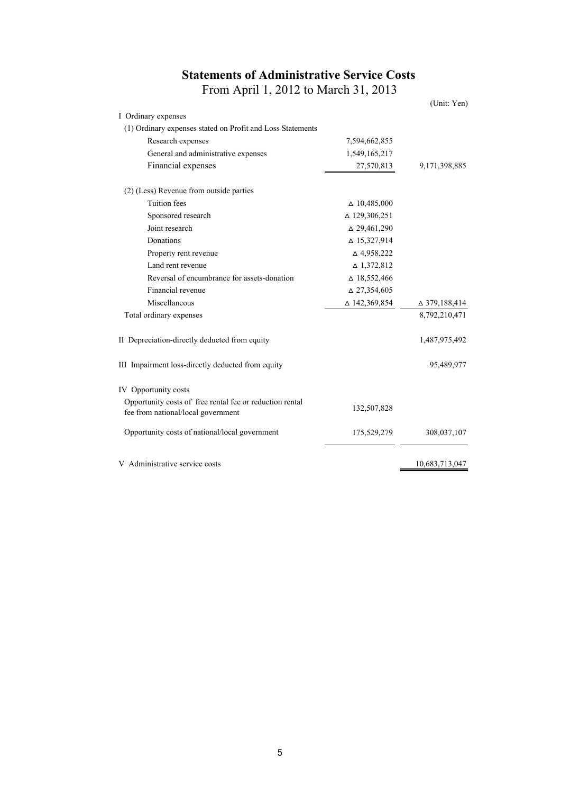# **Statements of Administrative Service Costs** From April 1, 2012 to March 31, 2013

(Unit: Yen)

| I Ordinary expenses                                                                            |                        |                      |
|------------------------------------------------------------------------------------------------|------------------------|----------------------|
| (1) Ordinary expenses stated on Profit and Loss Statements                                     |                        |                      |
| Research expenses                                                                              | 7,594,662,855          |                      |
| General and administrative expenses                                                            | 1,549,165,217          |                      |
| Financial expenses                                                                             | 27,570,813             | 9,171,398,885        |
| (2) (Less) Revenue from outside parties                                                        |                        |                      |
| <b>Tuition</b> fees                                                                            | $\Delta$ 10,485,000    |                      |
| Sponsored research                                                                             | △ 129,306,251          |                      |
| Joint research                                                                                 | $\Delta$ 29,461,290    |                      |
| Donations                                                                                      | $\triangle$ 15,327,914 |                      |
| Property rent revenue                                                                          | $\triangle$ 4,958,222  |                      |
| Land rent revenue                                                                              | $\triangle$ 1,372,812  |                      |
| Reversal of encumbrance for assets-donation                                                    | $\Delta$ 18,552,466    |                      |
| Financial revenue                                                                              | $\Delta$ 27,354,605    |                      |
| Miscellaneous                                                                                  | $\Delta$ 142,369,854   | $\Delta$ 379,188,414 |
| Total ordinary expenses                                                                        |                        | 8,792,210,471        |
| II Depreciation-directly deducted from equity                                                  |                        | 1,487,975,492        |
| III Impairment loss-directly deducted from equity                                              |                        | 95,489,977           |
| IV Opportunity costs                                                                           |                        |                      |
| Opportunity costs of free rental fee or reduction rental<br>fee from national/local government | 132,507,828            |                      |
| Opportunity costs of national/local government                                                 | 175,529,279            | 308,037,107          |
| V Administrative service costs                                                                 |                        | 10,683,713,047       |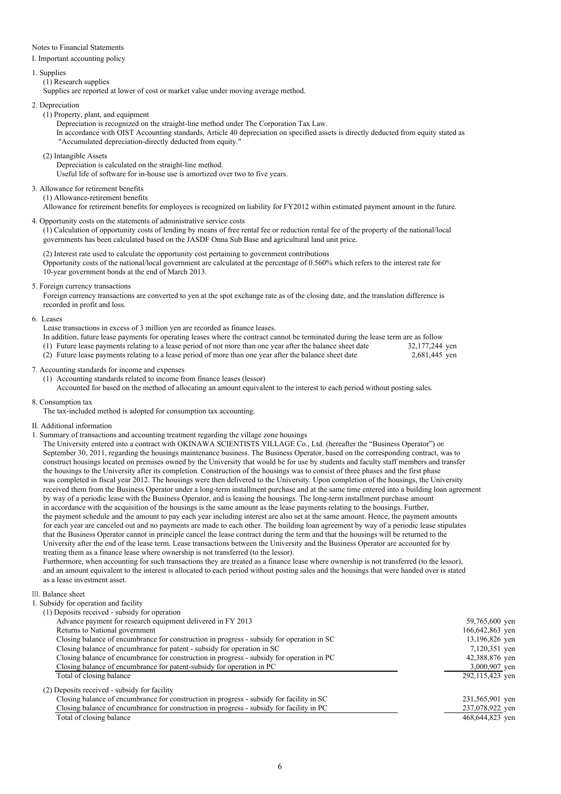### Notes to Financial Statements

I. Important accounting policy

### 1. Supplies

(1) Research supplies

Supplies are reported at lower of cost or market value under moving average method.

### 2. Depreciation

(1) Property, plant, and equipment

Depreciation is recognized on the straight-line method under The Corporation Tax Law. In accordance with OIST Accounting standards, Article 40 depreciation on specified assets is directly deducted from equity stated as "Accumulated depreciation-directly deducted from equity."

(2) Intangible Assets

Depreciation is calculated on the straight-line method.

Useful life of software for in-house use is amortized over two to five years.

## 3. Allowance for retirement benefits

(1) Allowance-retirement benefits

Allowance for retirement benefits for employees is recognized on liability for FY2012 within estimated payment amount in the future.

4. Opportunity costs on the statements of administrative service costs

(1) Calculation of opportunity costs of lending by means of free rental fee or reduction rental fee of the property of the national/local governments has been calculated based on the JASDF Onna Sub Base and agricultural land unit price.

(2) Interest rate used to calculate the opportunity cost pertaining to government contributions Opportunity costs of the national/local government are calculated at the percentage of 0.560% which refers to the interest rate for 10-year government bonds at the end of March 2013.

5. Foreign currency transactions

Foreign currency transactions are converted to yen at the spot exchange rate as of the closing date, and the translation difference is recorded in profit and loss.

6. Leases

## Lease transactions in excess of 3 million yen are recorded as finance leases.

In addition, future lease payments for operating leases where the contract cannot be terminated during the lease term are as follow (1) Future lease payments relating to a lease period of not more than one year after the balance sheet date 32,177,244 yen<br>(2) Future lease payments relating to a lease period of more than one year after the balance sheet  $(2)$  Future lease payments relating to a lease period of more than one year after the balance sheet date

7. Accounting standards for income and expenses

(1) Accounting standards related to income from finance leases (lessor) Accounted for based on the method of allocating an amount equivalent to the interest to each period without posting sales.

8. Consumption tax

The tax-included method is adopted for consumption tax accounting.

- II. Additional information
- 1. Summary of transactions and accounting treatment regarding the village zone housings

The University entered into a contract with OKINAWA SCIENTISTS VILLAGE Co., Ltd. (hereafter the "Business Operator") on September 30, 2011, regarding the housings maintenance business. The Business Operator, based on the corresponding contract, was to construct housings located on premises owned by the University that would be for use by students and faculty staff members and transfer the housings to the University after its completion. Construction of the housings was to consist of three phases and the first phase was completed in fiscal year 2012. The housings were then delivered to the University. Upon completion of the housings, the University received them from the Business Operator under a long-term installment purchase and at the same time entered into a building loan agreement by way of a periodic lease with the Business Operator, and is leasing the housings. The long-term installment purchase amount in accordance with the acquisition of the housings is the same amount as the lease payments relating to the housings. Further, the payment schedule and the amount to pay each year including interest are also set at the same amount. Hence, the payment amounts for each year are canceled out and no payments are made to each other. The building loan agreement by way of a periodic lease stipulates that the Business Operator cannot in principle cancel the lease contract during the term and that the housings will be returned to the University after the end of the lease term. Lease transactions between the University and the Business Operator are accounted for by treating them as a finance lease where ownership is not transferred (to the lessor).

Furthermore, when accounting for such transactions they are treated as a finance lease where ownership is not transferred (to the lessor), and an amount equivalent to the interest is allocated to each period without posting sales and the housings that were handed over is stated as a lease investment asset.

#### **III** Balance sheet

- 1. Subsidy for operation and facility
	- (1) Deposits received subsidy for operation

| $(1)$ Deposits recent on success for operation                                            |                 |
|-------------------------------------------------------------------------------------------|-----------------|
| Advance payment for research equipment delivered in FY 2013                               | 59,765,600 yen  |
| Returns to National government                                                            | 166,642,863 yen |
| Closing balance of encumbrance for construction in progress - subsidy for operation in SC | 13,196,826 yen  |
| Closing balance of encumbrance for patent - subsidy for operation in SC                   | 7,120,351 yen   |
| Closing balance of encumbrance for construction in progress - subsidy for operation in PC | 42,388,876 yen  |
| Closing balance of encumbrance for patent-subsidy for operation in PC                     | 3,000,907 yen   |
| Total of closing balance                                                                  | 292,115,423 ven |
| (2) Deposits received - subsidy for facility                                              |                 |
| Closing balance of encumbrance for construction in progress - subsidy for facility in SC  | 231,565,901 yen |
| Closing balance of encumbrance for construction in progress - subsidy for facility in PC  | 237,078,922 yen |
| Total of closing balance                                                                  | 468,644,823 ven |
|                                                                                           |                 |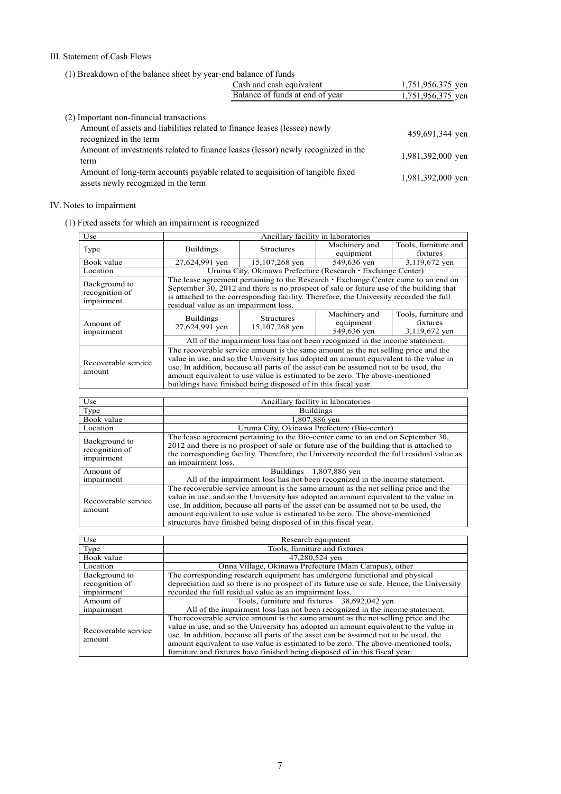## III. Statement of Cash Flows

(1) Breakdown of the balance sheet by year-end balance of funds

|                                                                                                                       | Cash and cash equivalent        | 1,751,956,375 yen |
|-----------------------------------------------------------------------------------------------------------------------|---------------------------------|-------------------|
|                                                                                                                       | Balance of funds at end of year | 1,751,956,375 yen |
| (2) Important non-financial transactions<br>Amount of assets and liabilities related to finance leases (lessee) newly |                                 |                   |
| recognized in the term                                                                                                |                                 | 459,691,344 yen   |
| Amount of investments related to finance leases (lessor) newly recognized in the<br>term                              |                                 | 1,981,392,000 yen |
| Amount of long-term accounts payable related to acquisition of tangible fixed<br>assets newly recognized in the term  |                                 | 1,981,392,000 yen |

# IV. Notes to impairment

(1) Fixed assets for which an impairment is recognized

| Use                 | Ancillary facility in laboratories                                                       |                                                                                        |               |                      |  |
|---------------------|------------------------------------------------------------------------------------------|----------------------------------------------------------------------------------------|---------------|----------------------|--|
| Type                | <b>Buildings</b>                                                                         | <b>Structures</b>                                                                      | Machinery and | Tools, furniture and |  |
|                     |                                                                                          |                                                                                        | equipment     | fixtures             |  |
| Book value          | 27,624,991 yen                                                                           | 15,107,268 yen                                                                         | 549,636 yen   | 3,119,672 yen        |  |
| Location            |                                                                                          | Uruma City, Okinawa Prefecture (Research • Exchange Center)                            |               |                      |  |
| Background to       | The lease agreement pertaining to the Research $\cdot$ Exchange Center came to an end on |                                                                                        |               |                      |  |
| recognition of      |                                                                                          | September 30, 2012 and there is no prospect of sale or future use of the building that |               |                      |  |
| impairment          |                                                                                          | is attached to the corresponding facility. Therefore, the University recorded the full |               |                      |  |
|                     | residual value as an impairment loss.                                                    |                                                                                        |               |                      |  |
|                     | <b>Buildings</b>                                                                         | <b>Structures</b>                                                                      | Machinery and | Tools, furniture and |  |
| Amount of           | 27,624,991 yen                                                                           | 15,107,268 yen                                                                         | equipment     | fixtures             |  |
| impairment          |                                                                                          |                                                                                        | 549,636 yen   | 3,119,672 ven        |  |
|                     | All of the impairment loss has not been recognized in the income statement.              |                                                                                        |               |                      |  |
|                     | The recoverable service amount is the same amount as the net selling price and the       |                                                                                        |               |                      |  |
| Recoverable service | value in use, and so the University has adopted an amount equivalent to the value in     |                                                                                        |               |                      |  |
|                     | use. In addition, because all parts of the asset can be assumed not to be used, the      |                                                                                        |               |                      |  |
| amount              | amount equivalent to use value is estimated to be zero. The above-mentioned              |                                                                                        |               |                      |  |
|                     | buildings have finished being disposed of in this fiscal year.                           |                                                                                        |               |                      |  |

| Use                                           | Ancillary facility in laboratories                                                                                                                                                                                                                                                                                                                                                                                  |
|-----------------------------------------------|---------------------------------------------------------------------------------------------------------------------------------------------------------------------------------------------------------------------------------------------------------------------------------------------------------------------------------------------------------------------------------------------------------------------|
| Type                                          | <b>Buildings</b>                                                                                                                                                                                                                                                                                                                                                                                                    |
| Book value                                    | 1,807,886 yen                                                                                                                                                                                                                                                                                                                                                                                                       |
| Location                                      | Uruma City, Okinawa Prefecture (Bio-center)                                                                                                                                                                                                                                                                                                                                                                         |
| Background to<br>recognition of<br>impairment | The lease agreement pertaining to the Bio-center came to an end on September 30,<br>2012 and there is no prospect of sale or future use of the building that is attached to<br>the corresponding facility. Therefore, the University recorded the full residual value as<br>an impairment loss.                                                                                                                     |
| Amount of                                     | Buildings 1,807,886 yen                                                                                                                                                                                                                                                                                                                                                                                             |
| impairment                                    | All of the impairment loss has not been recognized in the income statement.                                                                                                                                                                                                                                                                                                                                         |
| Recoverable service<br>amount                 | The recoverable service amount is the same amount as the net selling price and the<br>value in use, and so the University has adopted an amount equivalent to the value in<br>use. In addition, because all parts of the asset can be assumed not to be used, the<br>amount equivalent to use value is estimated to be zero. The above-mentioned<br>structures have finished being disposed of in this fiscal year. |

| Use                           | Research equipment                                                                                                                                                                                                                                                                                                                                                                                                                     |  |  |
|-------------------------------|----------------------------------------------------------------------------------------------------------------------------------------------------------------------------------------------------------------------------------------------------------------------------------------------------------------------------------------------------------------------------------------------------------------------------------------|--|--|
| Type                          | Tools, furniture and fixtures                                                                                                                                                                                                                                                                                                                                                                                                          |  |  |
| Book value                    | 47,280,524 yen                                                                                                                                                                                                                                                                                                                                                                                                                         |  |  |
| Location                      | Onna Village, Okinawa Prefecture (Main Campus), other                                                                                                                                                                                                                                                                                                                                                                                  |  |  |
| Background to                 | The corresponding research equipment has undergone functional and physical                                                                                                                                                                                                                                                                                                                                                             |  |  |
| recognition of                | depreciation and so there is no prospect of its future use or sale. Hence, the University                                                                                                                                                                                                                                                                                                                                              |  |  |
| impairment                    | recorded the full residual value as an impairment loss.                                                                                                                                                                                                                                                                                                                                                                                |  |  |
| Amount of                     | Tools, furniture and fixtures 38,692,042 yen                                                                                                                                                                                                                                                                                                                                                                                           |  |  |
| impairment                    | All of the impairment loss has not been recognized in the income statement.                                                                                                                                                                                                                                                                                                                                                            |  |  |
| Recoverable service<br>amount | The recoverable service amount is the same amount as the net selling price and the<br>value in use, and so the University has adopted an amount equivalent to the value in<br>use. In addition, because all parts of the asset can be assumed not to be used, the<br>amount equivalent to use value is estimated to be zero. The above-mentioned tools,<br>furniture and fixtures have finished being disposed of in this fiscal year. |  |  |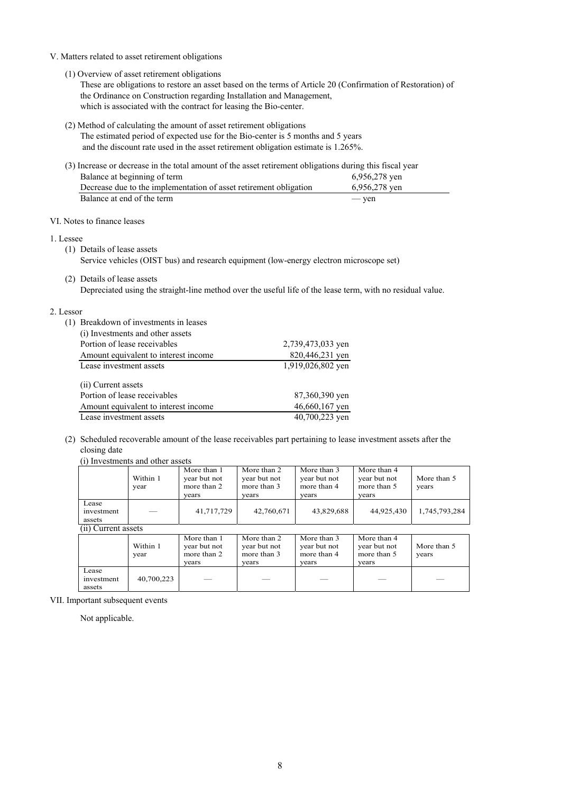## V. Matters related to asset retirement obligations

(1) Overview of asset retirement obligations

These are obligations to restore an asset based on the terms of Article 20 (Confirmation of Restoration) of the Ordinance on Construction regarding Installation and Management, which is associated with the contract for leasing the Bio-center.

- (2) Method of calculating the amount of asset retirement obligations
	- The estimated period of expected use for the Bio-center is 5 months and 5 years and the discount rate used in the asset retirement obligation estimate is 1.265%.

| (3) Increase or decrease in the total amount of the asset retirement obligations during this fiscal year |               |
|----------------------------------------------------------------------------------------------------------|---------------|
| Balance at beginning of term                                                                             | 6,956,278 ven |
| Decrease due to the implementation of asset retirement obligation                                        | 6,956,278 ven |
| Balance at end of the term                                                                               | — yen         |

## VI. Notes to finance leases

## 1. Lessee

- (1) Details of lease assets
	- Service vehicles (OIST bus) and research equipment (low-energy electron microscope set)
- (2) Details of lease assets Depreciated using the straight-line method over the useful life of the lease term, with no residual value.

## 2. Lessor

| (1) | Breakdown of investments in leases<br>(i) Investments and other assets |                   |
|-----|------------------------------------------------------------------------|-------------------|
|     | Portion of lease receivables                                           | 2,739,473,033 yen |
|     | Amount equivalent to interest income                                   | 820,446,231 yen   |
|     | Lease investment assets                                                | 1,919,026,802 yen |
|     | (ii) Current assets                                                    |                   |
|     | Portion of lease receivables                                           | 87,360,390 yen    |
|     | Amount equivalent to interest income                                   | 46,660,167 yen    |
|     | Lease investment assets                                                | 40,700,223 yen    |

(2) Scheduled recoverable amount of the lease receivables part pertaining to lease investment assets after the closing date

|                               | (i) Investments and other assets |                                                     |                                                     |                                                     |                                                     |                      |  |  |  |  |
|-------------------------------|----------------------------------|-----------------------------------------------------|-----------------------------------------------------|-----------------------------------------------------|-----------------------------------------------------|----------------------|--|--|--|--|
|                               | Within 1<br>year                 | More than 1<br>year but not<br>more than 2<br>years | More than 2<br>year but not<br>more than 3<br>years | More than 3<br>year but not<br>more than 4<br>vears | More than 4<br>year but not<br>more than 5<br>years | More than 5<br>years |  |  |  |  |
| Lease<br>investment<br>assets |                                  | 41,717,729                                          | 42,760,671                                          | 43,829,688                                          | 44,925,430                                          | 1,745,793,284        |  |  |  |  |
| (ii) Current assets           |                                  |                                                     |                                                     |                                                     |                                                     |                      |  |  |  |  |
|                               | Within 1<br>year                 | More than 1<br>year but not<br>more than 2<br>years | More than 2<br>year but not<br>more than 3<br>years | More than 3<br>year but not<br>more than 4<br>vears | More than 4<br>year but not<br>more than 5<br>years | More than 5<br>years |  |  |  |  |
| Lease<br>investment<br>assets | 40,700,223                       |                                                     |                                                     |                                                     |                                                     |                      |  |  |  |  |

VII. Important subsequent events

Not applicable.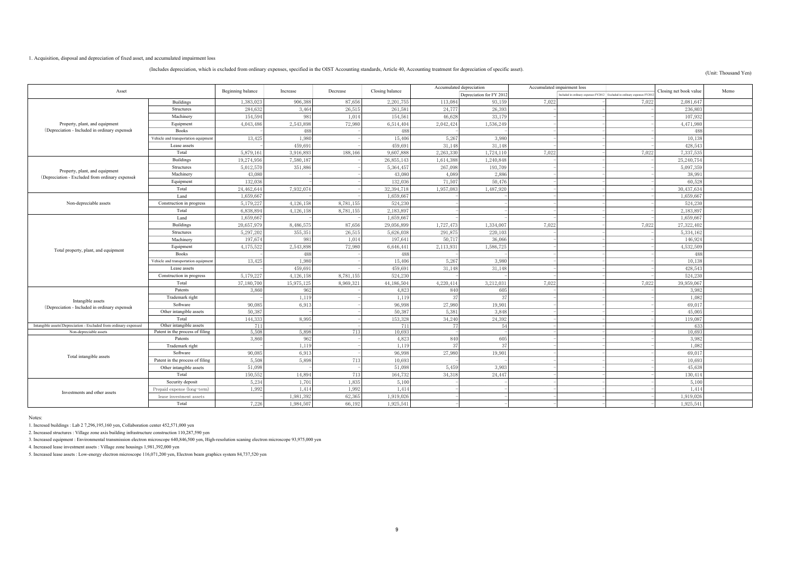#### 1. Acquisition, disposal and depreciation of fixed asset, and accumulated impairment loss

#### (Includes depreciation, which is excluded from ordinary expenses, specified in the OIST Accounting standards, Article 40, Accounting treatment for depreciation of specific asset).

#### (Unit: Thousand Yen)

| Asset                                                                             |                                      | Beginning balance | Increase  | Decrease  | Closing balance | Accumulated depreciation |                          | Accumulated impairment loss |                                                                         | Closing net book value | Memo       |  |
|-----------------------------------------------------------------------------------|--------------------------------------|-------------------|-----------|-----------|-----------------|--------------------------|--------------------------|-----------------------------|-------------------------------------------------------------------------|------------------------|------------|--|
|                                                                                   |                                      |                   |           |           |                 |                          | Depreciation for FY 2012 |                             | Included in ordinary expenses FY2012 Excluded in ordinary expenses FY20 |                        |            |  |
|                                                                                   | <b>Buildings</b>                     | 1,383,023         | 906,388   | 87,656    | 2,201,755       | 113,084                  | 93,159                   | 7,022                       |                                                                         | 7,022                  | 2,081,647  |  |
|                                                                                   | Structures                           | 284,63            | 3,464     | 26,51     | 261,581         | 24,777                   | 26,393                   |                             |                                                                         |                        | 236,803    |  |
|                                                                                   | Machinery                            | 154,594           | 981       | 1,014     | 154,561         | 46,628                   | 33,179                   |                             |                                                                         |                        | 107,932    |  |
| Property, plant, and equipment                                                    | Equipment                            | 4,043,48          | 2,543,898 | 72,980    | 6,514,404       | 2,042,42                 | 1,536,249                |                             |                                                                         |                        | 4,471,980  |  |
| (Depreciation - Included in ordinary expenses                                     | <b>Books</b>                         |                   | 488       |           | 488             |                          |                          |                             |                                                                         |                        | 488        |  |
|                                                                                   | Vehicle and transportation equipment | 13,425            | 1,980     |           | 15,406          | 5,267                    | 3,980                    |                             |                                                                         |                        | 10,138     |  |
|                                                                                   | Lease assets                         |                   | 459.69    |           | 459,691         | 31.148                   | 31,148                   |                             |                                                                         |                        | 428,543    |  |
|                                                                                   | Total                                | 5,879,161         | 3,916,893 | 188,166   | 9,607,888       | 2,263,330                | 1,724,110                | 7.022                       |                                                                         | 7.022                  | 7,337,535  |  |
|                                                                                   | <b>Buildings</b>                     | 19,274,956        | 7,580,187 |           | 26,855,143      | 1,614,388                | 1,240,848                |                             |                                                                         |                        | 25,240,754 |  |
|                                                                                   | Structures                           | 5,012,57          | 351,886   |           | 5,364,457       | 267,098                  | 193,709                  |                             |                                                                         |                        | 5,097,359  |  |
| Property, plant, and equipment<br>(Depreciation - Excluded from ordinary expenses | Machinery                            | 43,08             |           |           | 43,080          | 4,089                    | 2,886                    |                             |                                                                         |                        | 38,991     |  |
|                                                                                   | Equipment                            | 132,03            |           |           | 132,036         | 71,507                   | 50,476                   |                             |                                                                         |                        | 60,528     |  |
|                                                                                   | Total                                | 24,462,644        | 7,932,074 |           | 32,394,718      | 1,957,083                | 1,487,920                |                             |                                                                         |                        | 30,437,634 |  |
|                                                                                   | Land                                 | 1,659,66          |           |           | 1,659,667       |                          |                          |                             |                                                                         |                        | 1,659,667  |  |
| Non-depreciable assets                                                            | Construction in progress             | 5,179,22          | 4,126,158 | 8,781,155 | 524,230         |                          |                          |                             |                                                                         |                        | 524,230    |  |
|                                                                                   | Total                                | 6,838,894         | 4,126,158 | 8,781,155 | 2,183,897       |                          |                          |                             |                                                                         |                        | 2,183,897  |  |
|                                                                                   | Land                                 | 1,659,667         |           |           | 1,659,667       |                          |                          |                             |                                                                         |                        | 1,659,667  |  |
|                                                                                   | Buildings                            | 20,657,979        | 8,486,57  | 87,656    | 29,056,899      | 1,727,47                 | 1,334,007                | 7,022                       |                                                                         | 7,022                  | 27,322,402 |  |
|                                                                                   | Structures                           | 5,297,202         | 355,351   | 26,515    | 5,626,038       | 291,875                  | 220,103                  |                             |                                                                         |                        | 5,334,162  |  |
|                                                                                   | Machinery                            | 197,674           | 981       | 1,014     | 197,64          | 50,717                   | 36,066                   |                             |                                                                         |                        | 146,924    |  |
|                                                                                   | Equipment                            | 4,175,522         | 2,543,898 | 72,980    | 6,646,44        | 2,113,931                | 1,586,725                |                             |                                                                         |                        | 4,532,509  |  |
| Total property, plant, and equipment                                              | <b>Books</b>                         |                   | 488       |           | 488             |                          |                          |                             |                                                                         |                        | 488        |  |
|                                                                                   | Vehicle and transportation equipment | 13,425            | 1,980     |           | 15,406          | 5,267                    | 3,980                    |                             |                                                                         |                        | 10,138     |  |
|                                                                                   | Lease assets                         |                   | 459,691   |           | 459,69          | 31.148                   | 31,148                   |                             |                                                                         |                        | 428,543    |  |
|                                                                                   | Construction in progress             | 5,179,22          | 4,126,158 | 8,781,155 | 524,230         |                          |                          |                             |                                                                         |                        | 524,230    |  |
|                                                                                   | Total                                | 37,180,700        | 15,975,12 | 8,969,321 | 44,186,504      | 4,220,414                | 3,212,031                | 7,022                       |                                                                         | 7,02                   | 39,959,067 |  |
|                                                                                   | Patents                              | 3,860             | 962       |           | 4,823           | 840                      | 605                      |                             |                                                                         |                        | 3,982      |  |
|                                                                                   | Trademark right                      |                   | 1,119     |           | 1,119           | 3 <sup>7</sup>           | 37                       |                             |                                                                         |                        | 1,082      |  |
| Intangible assets<br>(Depreciation - Included in ordinary expenses                | Software                             | 90,08             | 6,91      |           | 96,998          | 27,980                   | 19,901                   |                             |                                                                         |                        | 69,017     |  |
|                                                                                   | Other intangible assets              | 50,387            |           |           | 50,387          | 5,381                    | 3,848                    |                             |                                                                         |                        | 45,005     |  |
|                                                                                   | Total                                | 144,33            | 8,995     |           | 153,328         | 34,240                   | 24,392                   |                             |                                                                         |                        | 119,087    |  |
| Intangible assets (Depreciation - Excluded from ordinary expenses)                | Other intangible assets              | 711               |           |           | 711             |                          |                          |                             |                                                                         |                        | 633        |  |
| Non-depreciable assets                                                            | Patent in the process of filing      | 5,508             | 5,898     | 713       | 10,693          |                          |                          |                             |                                                                         |                        | 10.693     |  |
|                                                                                   | Patents                              | 3,860             | 962       |           | 4,823           | 840                      | 605                      |                             |                                                                         |                        | 3,982      |  |
|                                                                                   | Trademark right                      |                   | 1,119     |           | 1,119           | -37                      | 37                       |                             |                                                                         |                        | 1,082      |  |
| Total intangible assets                                                           | Software                             | 90,08             | 6,913     |           | 96,998          | 27,980                   | 19,901                   |                             |                                                                         |                        | 69,017     |  |
|                                                                                   | Patent in the process of filing      | 5,508             | 5,898     | 713       | 10,693          |                          |                          |                             |                                                                         |                        | 10,693     |  |
|                                                                                   | Other intangible assets              | 51,098            |           |           | 51,098          | 5,459                    | 3,903                    |                             |                                                                         |                        | 45,638     |  |
|                                                                                   | Total                                | 150,55            | 14,894    | 713       | 164,732         | 34,318                   | 24,447                   |                             |                                                                         |                        | 130,414    |  |
|                                                                                   | Security deposit                     | 5,234             | 1,701     | 1,835     | 5,100           |                          |                          |                             |                                                                         |                        | 5,100      |  |
| Investments and other assets                                                      | Prepaid expense (long-term)          | 1,992             | 1,414     | 1,992     | 1,414           |                          |                          |                             |                                                                         |                        | 1,414      |  |
|                                                                                   | lease investment assets              |                   | 1,981,392 | 62,365    | 1,919,026       |                          |                          |                             |                                                                         |                        | 1,919,026  |  |
|                                                                                   | Total                                | 7,226             | 1,984,507 | 66,192    | 1,925,541       |                          |                          |                             |                                                                         |                        | 1,925,541  |  |

Notes:

1. Incresed buildings : Lab 2 7,296,195,160 yen, Collaboration center 452,571,000 yen

2. Increased structures : Village zone axis building infrastructure construction 110,287,590 yen

3. Increased equipment : Environmental transmission electron microscope 640,846,500 yen, High-resolution scaning electron microscope 93,975,000 yen

4. Increased lease investment assets : Village zone housings 1,981,392,000 yen

5. Increased lease assets : Low-energy electron microscope 116,071,200 yen, Electron beam graphics system 84,737,520 yen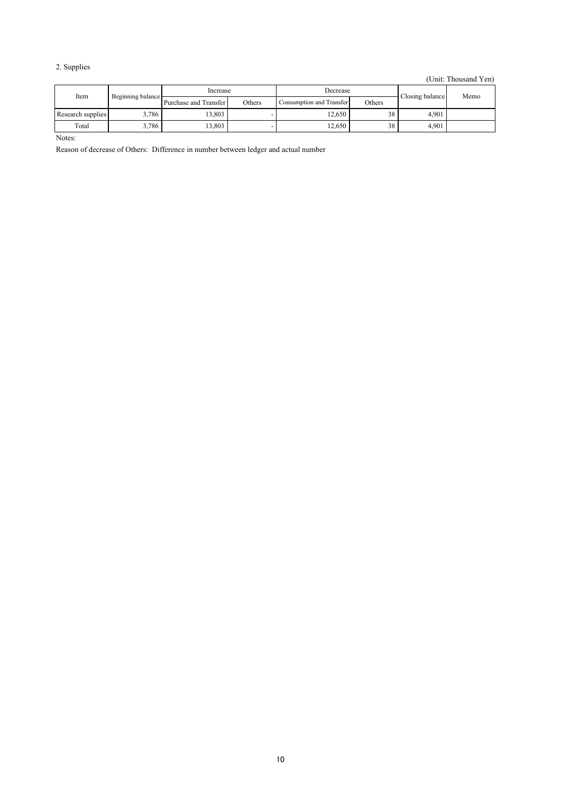# 2. Supplies

(Unit: Thousand Yen)

| Item              | Beginning balance | Increase              |               | Decrease                 |        | Closing balance | Memo |
|-------------------|-------------------|-----------------------|---------------|--------------------------|--------|-----------------|------|
|                   |                   | Purchase and Transfer | <b>Others</b> | Consumption and Transfer | Others |                 |      |
| Research supplies | 3.786             | 13.803                |               | 12.650                   | 38     | 4.901           |      |
| Total             | 3,786             | 3,803                 |               | 12,650                   | 38     | 4,901           |      |

Notes:

Reason of decrease of Others: Difference in number between ledger and actual number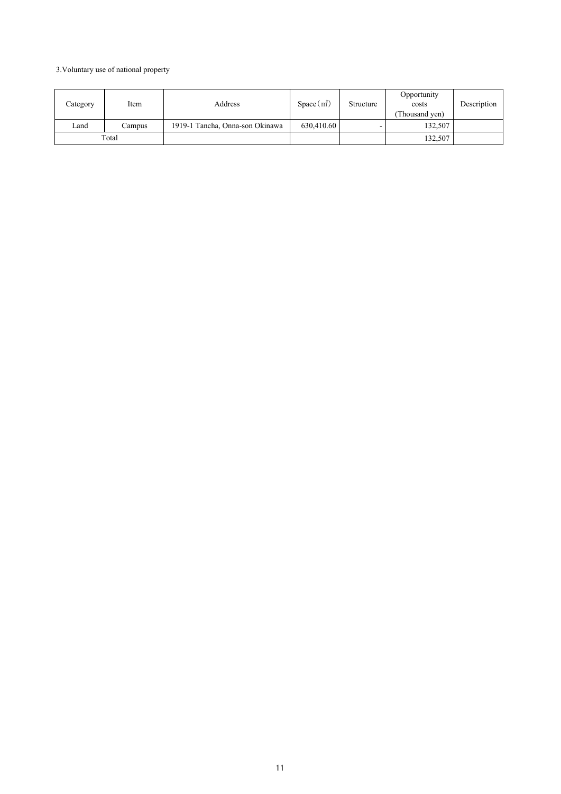# 3.Voluntary use of national property

| Category                                          | Item | Address    | $Space(m^2)$ | Structure | Opportunity<br>costs<br>(Thousand yen) | Description |
|---------------------------------------------------|------|------------|--------------|-----------|----------------------------------------|-------------|
| Land<br>1919-1 Tancha, Onna-son Okinawa<br>Campus |      | 630.410.60 |              | 132.507   |                                        |             |
| Total                                             |      |            |              |           | 132,507                                |             |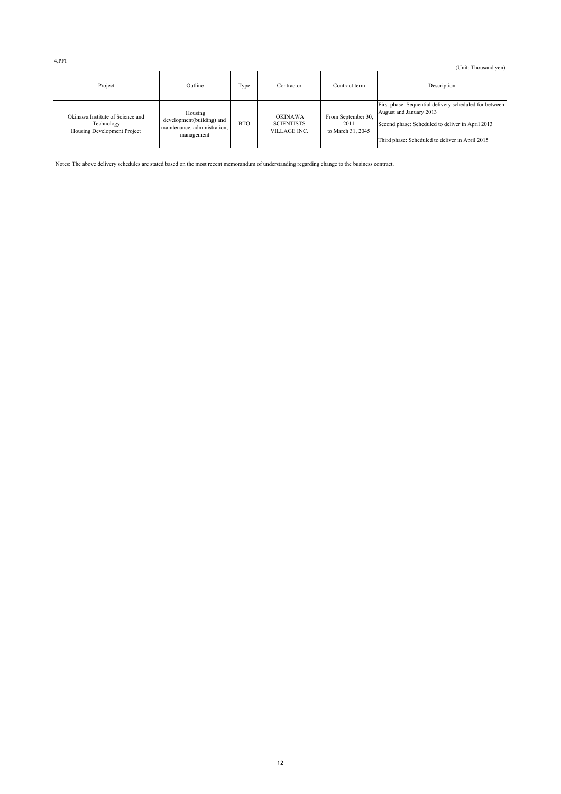4.PFI

|                                                                               |                                                                                    |            |                                                     |                                                 | (Unit: Thousand yen)                                                                                                                                                                     |
|-------------------------------------------------------------------------------|------------------------------------------------------------------------------------|------------|-----------------------------------------------------|-------------------------------------------------|------------------------------------------------------------------------------------------------------------------------------------------------------------------------------------------|
| Project                                                                       | Outline                                                                            | Type       | Contractor                                          | Contract term                                   | Description                                                                                                                                                                              |
| Okinawa Institute of Science and<br>Technology<br>Housing Development Project | Housing<br>development(building) and<br>maintenance, administration,<br>management | <b>BTO</b> | <b>OKINAWA</b><br><b>SCIENTISTS</b><br>VILLAGE INC. | From September 30,<br>2011<br>to March 31, 2045 | First phase: Sequential delivery scheduled for between<br>August and January 2013<br>Second phase: Scheduled to deliver in April 2013<br>Third phase: Scheduled to deliver in April 2015 |

Notes: The above delivery schedules are stated based on the most recent memorandum of understanding regarding change to the business contract.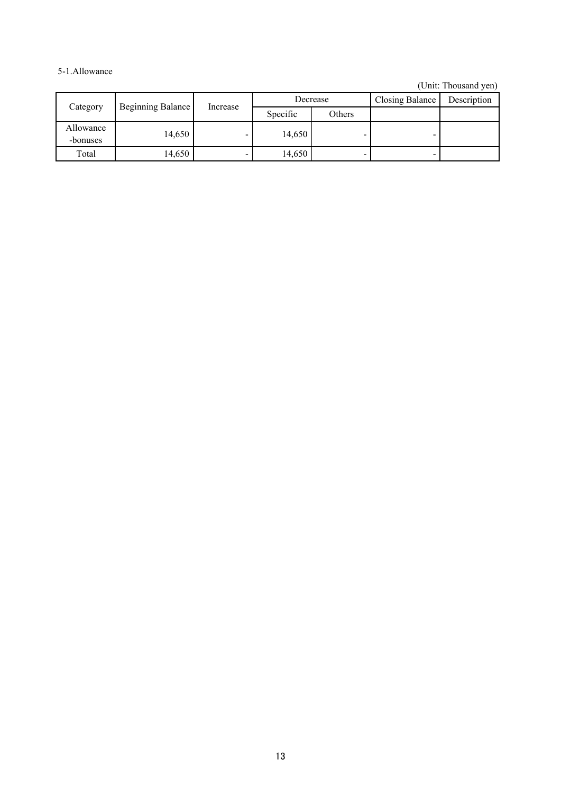# 5-1.Allowance

| Category              | Beginning Balance | Increase                 |          | Decrease | <b>Closing Balance</b> | Description |
|-----------------------|-------------------|--------------------------|----------|----------|------------------------|-------------|
|                       |                   |                          | Specific | Others   |                        |             |
| Allowance<br>-bonuses | 14,650            | $\overline{\phantom{0}}$ | 14,650   |          |                        |             |
| Total                 | 14,650            | $\overline{\phantom{0}}$ | 14,650   | -        |                        |             |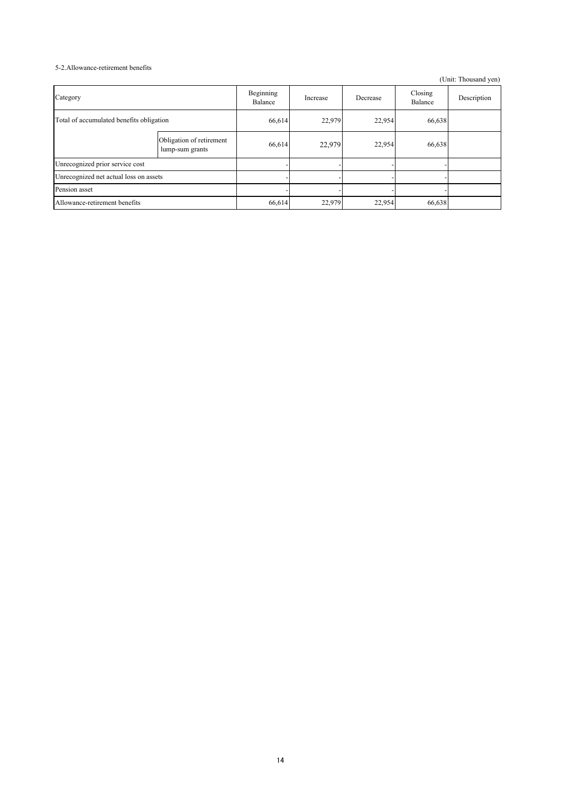## 5-2.Allowance-retirement benefits

| Category                                 |                                             | Beginning<br>Balance | Increase | Decrease | Closing<br>Balance | Description |
|------------------------------------------|---------------------------------------------|----------------------|----------|----------|--------------------|-------------|
| Total of accumulated benefits obligation |                                             | 66,614               | 22,979   | 22,954   | 66,638             |             |
|                                          | Obligation of retirement<br>lump-sum grants | 66,614               | 22,979   | 22,954   | 66,638             |             |
| Unrecognized prior service cost          |                                             |                      |          |          |                    |             |
| Unrecognized net actual loss on assets   |                                             |                      |          |          |                    |             |
| Pension asset                            |                                             |                      |          |          |                    |             |
| Allowance-retirement benefits            |                                             | 66,614               | 22,979   | 22,954   | 66,638             |             |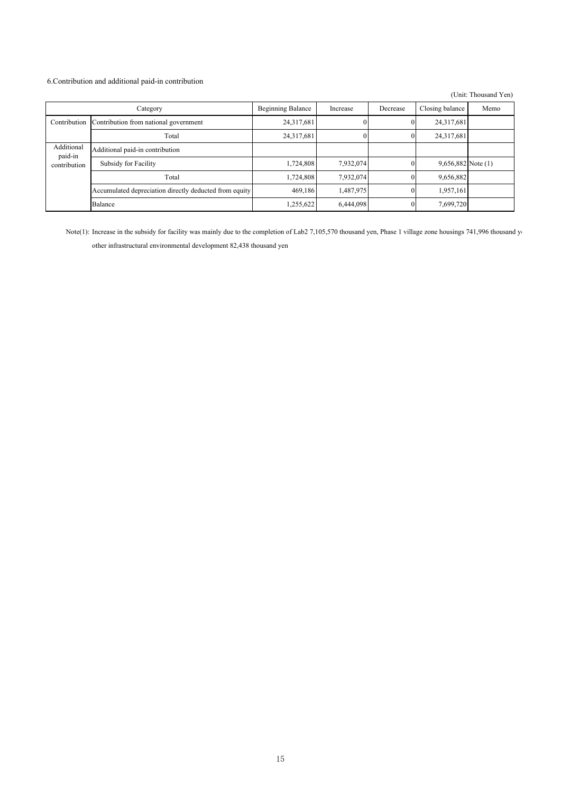## 6.Contribution and additional paid-in contribution

|                         |                                                        |                          |           |              |                      | (Unit: Thousand Yen) |
|-------------------------|--------------------------------------------------------|--------------------------|-----------|--------------|----------------------|----------------------|
|                         | Category                                               | <b>Beginning Balance</b> | Increase  | Decrease     | Closing balance      | Memo                 |
| Contribution            | Contribution from national government                  | 24,317,681               |           | $\bf{0}$     | 24,317,681           |                      |
|                         | Total                                                  | 24,317,681               |           | 0            | 24,317,681           |                      |
| Additional              | Additional paid-in contribution                        |                          |           |              |                      |                      |
| paid-in<br>contribution | Subsidy for Facility                                   | 1,724,808                | 7,932,074 | $\theta$     | $9,656,882$ Note (1) |                      |
|                         | Total                                                  | 1,724,808                | 7,932,074 | $\theta$     | 9,656,882            |                      |
|                         | Accumulated depreciation directly deducted from equity | 469.186                  | 1,487,975 | $\mathbf{0}$ | 1,957,161            |                      |
|                         | Balance                                                | 1,255,622                | 6,444,098 |              | 7,699,720            |                      |

Note(1): Increase in the subsidy for facility was mainly due to the completion of Lab2 7,105,570 thousand yen, Phase 1 village zone housings 741,996 thousand ye other infrastructural environmental development 82,438 thousand yen

㻝㻡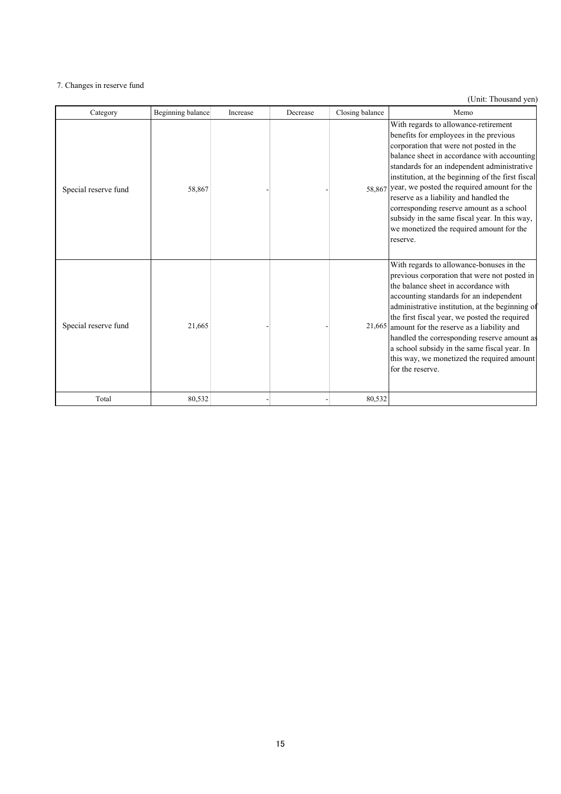## 7. Changes in reserve fund

| Category             | Beginning balance | Increase | Decrease | Closing balance | Memo                                                                                                                                                                                                                                                                                                                                                                                                                                                                                                                              |
|----------------------|-------------------|----------|----------|-----------------|-----------------------------------------------------------------------------------------------------------------------------------------------------------------------------------------------------------------------------------------------------------------------------------------------------------------------------------------------------------------------------------------------------------------------------------------------------------------------------------------------------------------------------------|
| Special reserve fund | 58,867            |          |          |                 | With regards to allowance-retirement<br>benefits for employees in the previous<br>corporation that were not posted in the<br>balance sheet in accordance with accounting<br>standards for an independent administrative<br>institution, at the beginning of the first fiscal<br>58,867 year, we posted the required amount for the<br>reserve as a liability and handled the<br>corresponding reserve amount as a school<br>subsidy in the same fiscal year. In this way,<br>we monetized the required amount for the<br>reserve. |
| Special reserve fund | 21,665            |          |          |                 | With regards to allowance-bonuses in the<br>previous corporation that were not posted in<br>the balance sheet in accordance with<br>accounting standards for an independent<br>administrative institution, at the beginning of<br>the first fiscal year, we posted the required<br>$21,665$ amount for the reserve as a liability and<br>handled the corresponding reserve amount as<br>a school subsidy in the same fiscal year. In<br>this way, we monetized the required amount<br>for the reserve.                            |
| Total                | 80,532            |          |          | 80,532          |                                                                                                                                                                                                                                                                                                                                                                                                                                                                                                                                   |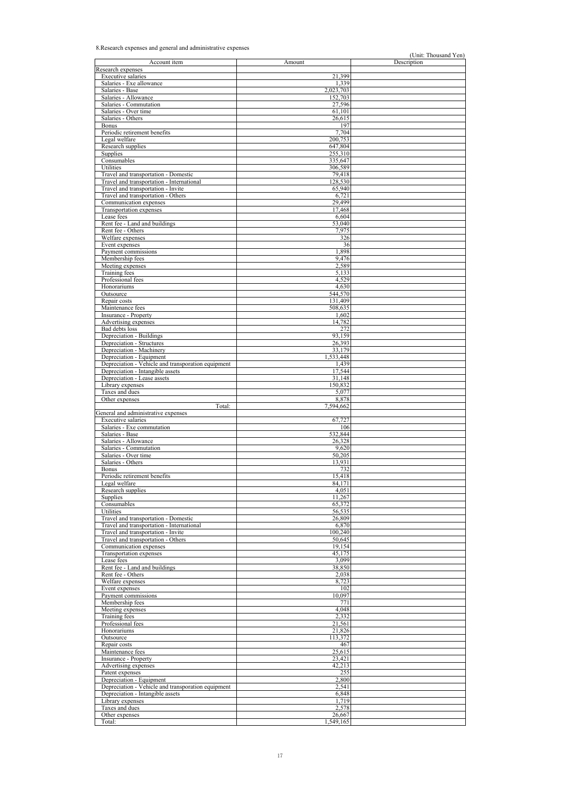## 8.Research expenses and general and administrative expenses

| Account item                                       | Amount    | Description |
|----------------------------------------------------|-----------|-------------|
| Research expenses                                  |           |             |
| <b>Executive salaries</b>                          | 21.399    |             |
| Salaries - Exe allowance                           | 1,339     |             |
| Salaries - Base                                    | 2,023,703 |             |
| Salaries - Allowance                               | 152,703   |             |
| Salaries - Commutation                             | 27,596    |             |
| Salaries - Over time                               | 61,101    |             |
| Salaries - Others                                  | 26,615    |             |
| <b>Bonus</b>                                       | 197       |             |
| Periodic retirement benefits                       | 7,704     |             |
| Legal welfare                                      | 200,753   |             |
| Research supplies                                  | 647,804   |             |
| Supplies                                           | 255,310   |             |
| Consumables                                        | 335,647   |             |
| Utilities                                          | 306,589   |             |
| Travel and transportation - Domestic               | 79,418    |             |
| Travel and transportation - International          | 128,530   |             |
| Travel and transportation - Invite                 | 65,940    |             |
| Travel and transportation - Others                 | 6,721     |             |
| Communication expenses                             | 29,499    |             |
| Transportation expenses                            | 17,468    |             |
| Lease fees                                         | 6,604     |             |
| Rent fee - Land and buildings                      | 53,040    |             |
|                                                    | 7,975     |             |
| Rent fee - Others                                  |           |             |
| Welfare expenses                                   | 326       |             |
| Event expenses                                     | 36        |             |
| Payment commissions                                | 1,898     |             |
| Membership fees                                    | 9,476     |             |
| Meeting expenses                                   | 2,589     |             |
| Training fees                                      | 5,133     |             |
| Professional fees                                  | 4,529     |             |
| Honorariums                                        | 4,630     |             |
| Outsource                                          | 544,570   |             |
| Repair costs                                       | 131,409   |             |
| Maintenance fees                                   | 508,635   |             |
| Insurance - Property                               | 1,602     |             |
| Advertising expenses                               | 14,782    |             |
| Bad debts loss                                     | 272       |             |
| Depreciation - Buildings                           | 93,159    |             |
| Depreciation - Structures                          | 26,393    |             |
| Depreciation - Machinery                           | 33,179    |             |
| Depreciation - Equipment                           | 1,533,448 |             |
| Depreciation - Vehicle and transporation equipment | 1,439     |             |
| Depreciation - Intangible assets                   | 17,544    |             |
| Depreciation - Lease assets                        | 31,148    |             |
| Library expenses                                   | 150,832   |             |
| Taxes and dues                                     | 5,077     |             |
| Other expenses                                     | 8,878     |             |
| Total:                                             | 7,594,662 |             |
| General and administrative expenses                |           |             |
| <b>Executive salaries</b>                          | 67,727    |             |
| Salaries - Exe commutation                         | 106       |             |
| Salaries - Base                                    | 532,844   |             |
| Salaries - Allowance                               | 26,328    |             |
| Salaries - Commutation                             | 9,620     |             |
| Salaries - Over time                               | 50,205    |             |
| Salaries - Others                                  | 13,931    |             |
|                                                    | 732       |             |
| Bonus                                              | 15,418    |             |
| Periodic retirement benefits                       |           |             |
| Legal welfare                                      | 84,171    |             |
| Research supplies                                  | 4,051     |             |
| Supplies                                           | 11,267    |             |
| Consumables                                        | 65,372    |             |
| Utilities                                          | 56,535    |             |
| Travel and transportation - Domestic               | 26,809    |             |
| Travel and transportation - International          | 6,870     |             |
| Travel and transportation - Invite                 | 100,240   |             |
| Travel and transportation - Others                 | 50,645    |             |
| Communication expenses                             | 19,154    |             |
| Transportation expenses                            | 45,175    |             |
| Lease fees                                         | 3,099     |             |
| Rent fee - Land and buildings                      | 38,850    |             |
| Rent fee - Others                                  | 2,038     |             |
| Welfare expenses                                   | 8,723     |             |
| Event expenses                                     | 102       |             |
| Payment commissions                                | 10,097    |             |
| Membership fees                                    | 771       |             |
| Meeting expenses                                   | 4,048     |             |
| Training fees                                      | 2,332     |             |
| Professional fees                                  | 21,561    |             |
| Honorariums                                        | 21,826    |             |
| Outsource                                          | 113,372   |             |
| Repair costs                                       | 467       |             |
| Maintenance fees                                   | 25,615    |             |
| Insurance - Property                               | 23,421    |             |
| Advertising expenses                               | 42,213    |             |
|                                                    |           |             |
| Patent expenses                                    | 255       |             |
| Depreciation - Equipment                           | 2,800     |             |
| Depreciation - Vehicle and transporation equipment | 2,541     |             |
| Depreciation - Intangible assets                   | 6,848     |             |
| Library expenses                                   | 1,719     |             |
| Taxes and dues                                     | 2,578     |             |
| Other expenses                                     | 26,667    |             |
| Total:                                             | 1,549,165 |             |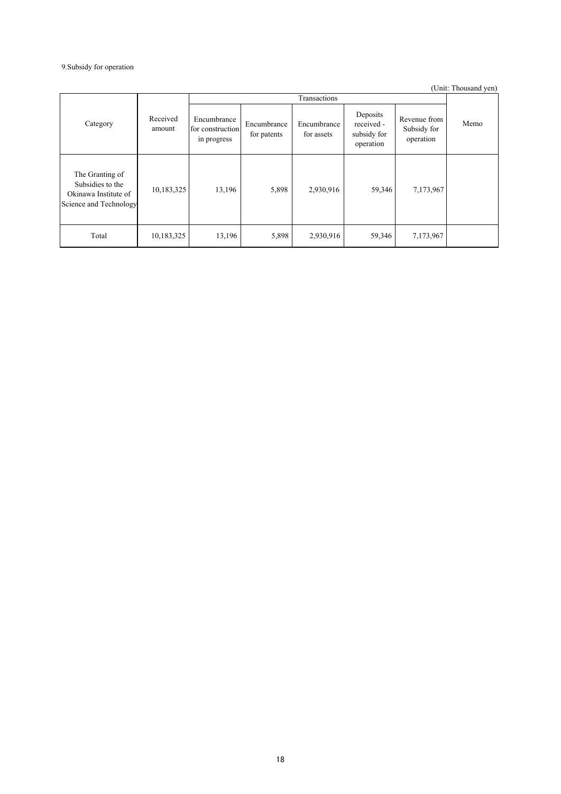## 9.Subsidy for operation

|                                                                                       |                    |                                                |                            |                           |                                                    |                                          | (Unit: Thousand yen) |
|---------------------------------------------------------------------------------------|--------------------|------------------------------------------------|----------------------------|---------------------------|----------------------------------------------------|------------------------------------------|----------------------|
|                                                                                       |                    |                                                |                            | Transactions              |                                                    |                                          |                      |
| Category                                                                              | Received<br>amount | Encumbrance<br>for construction<br>in progress | Encumbrance<br>for patents | Encumbrance<br>for assets | Deposits<br>received -<br>subsidy for<br>operation | Revenue from<br>Subsidy for<br>operation | Memo                 |
| The Granting of<br>Subsidies to the<br>Okinawa Institute of<br>Science and Technology | 10,183,325         | 13,196                                         | 5,898                      | 2,930,916                 | 59,346                                             | 7,173,967                                |                      |
| Total                                                                                 | 10,183,325         | 13,196                                         | 5,898                      | 2,930,916                 | 59,346                                             | 7,173,967                                |                      |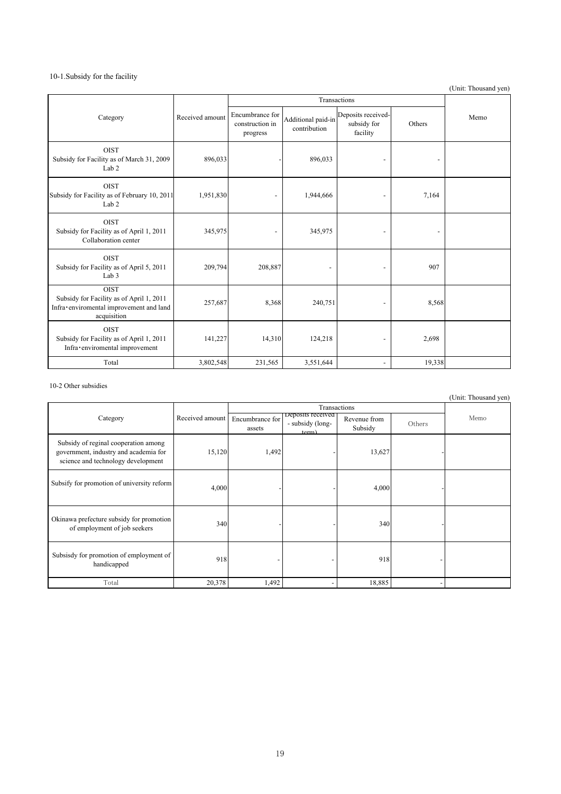## 10-1.Subsidy for the facility

(Unit: Thousand yen)

|                                                                                                                   |                 |                                                |                                    | Transactions                                  |        |      |
|-------------------------------------------------------------------------------------------------------------------|-----------------|------------------------------------------------|------------------------------------|-----------------------------------------------|--------|------|
| Category                                                                                                          | Received amount | Encumbrance for<br>construction in<br>progress | Additional paid-in<br>contribution | Deposits received-<br>subsidy for<br>facility | Others | Memo |
| <b>OIST</b><br>Subsidy for Facility as of March 31, 2009<br>Lab <sub>2</sub>                                      | 896,033         |                                                | 896,033                            |                                               |        |      |
| <b>OIST</b><br>Subsidy for Facility as of February 10, 2011<br>Lab <sub>2</sub>                                   | 1,951,830       |                                                | 1,944,666                          | $\overline{\phantom{a}}$                      | 7,164  |      |
| <b>OIST</b><br>Subsidy for Facility as of April 1, 2011<br>Collaboration center                                   | 345,975         |                                                | 345,975                            | $\qquad \qquad \blacksquare$                  |        |      |
| <b>OIST</b><br>Subsidy for Facility as of April 5, 2011<br>Lab <sub>3</sub>                                       | 209,794         | 208,887                                        |                                    |                                               | 907    |      |
| <b>OIST</b><br>Subsidy for Facility as of April 1, 2011<br>Infra•enviromental improvement and land<br>acquisition | 257,687         | 8,368                                          | 240,751                            |                                               | 8,568  |      |
| <b>OIST</b><br>Subsidy for Facility as of April 1, 2011<br>Infra•enviromental improvement                         | 141,227         | 14,310                                         | 124,218                            | $\qquad \qquad \blacksquare$                  | 2,698  |      |
| Total                                                                                                             | 3,802,548       | 231,565                                        | 3,551,644                          | $\overline{\phantom{a}}$                      | 19,338 |      |

## 10-2 Other subsidies

|                                                                                                                     |                 |                           | Transactions                                   |                         |        |      |
|---------------------------------------------------------------------------------------------------------------------|-----------------|---------------------------|------------------------------------------------|-------------------------|--------|------|
| Category                                                                                                            | Received amount | Encumbrance for<br>assets | Deposits received<br>- subsidy (long-<br>term) | Revenue from<br>Subsidy | Others | Memo |
| Subsidy of reginal cooperation among<br>government, industry and academia for<br>science and technology development | 15,120          | 1,492                     |                                                | 13,627                  |        |      |
| Subsify for promotion of university reform                                                                          | 4,000           |                           |                                                | 4,000                   |        |      |
| Okinawa prefecture subsidy for promotion<br>of employment of job seekers                                            | 340             |                           |                                                | 340                     |        |      |
| Subsisdy for promotion of employment of<br>handicapped                                                              | 918             |                           |                                                | 918                     |        |      |
| Total                                                                                                               | 20,378          | 1,492                     |                                                | 18,885                  | Ξ.     |      |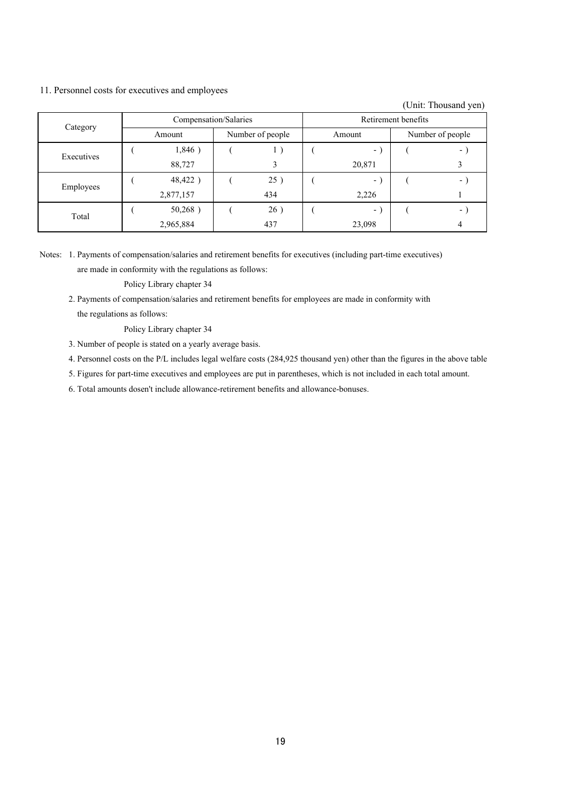## 11. Personnel costs for executives and employees

(Unit: Thousand yen)

|            | Compensation/Salaries                  |           |        | Retirement benefits |                  |        |  |   |
|------------|----------------------------------------|-----------|--------|---------------------|------------------|--------|--|---|
|            | Category<br>Number of people<br>Amount |           | Amount |                     | Number of people |        |  |   |
| Executives |                                        | 1,846)    |        |                     |                  | - 1    |  | - |
|            |                                        | 88,727    |        |                     |                  | 20,871 |  |   |
| Employees  |                                        | 48,422)   |        | 25)                 |                  | $\sim$ |  | - |
|            |                                        | 2,877,157 |        | 434                 |                  | 2,226  |  |   |
| Total      |                                        | 50,268)   |        | 26)                 |                  | $\sim$ |  | ۰ |
|            |                                        | 2,965,884 |        | 437                 |                  | 23,098 |  |   |

Notes: 1. Payments of compensation/salaries and retirement benefits for executives (including part-time executives) are made in conformity with the regulations as follows:

Policy Library chapter 34

2. Payments of compensation/salaries and retirement benefits for employees are made in conformity with the regulations as follows:

Policy Library chapter 34

- 3. Number of people is stated on a yearly average basis.
- 4. Personnel costs on the P/L includes legal welfare costs (284,925 thousand yen) other than the figures in the above table
- 5. Figures for part-time executives and employees are put in parentheses, which is not included in each total amount.
- 6. Total amounts dosen't include allowance-retirement benefits and allowance-bonuses.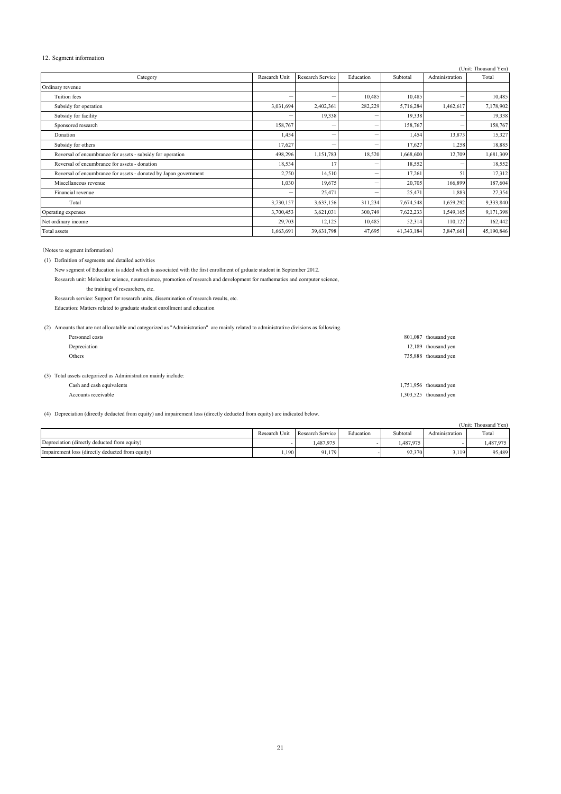### 12. Segment information

|                                                                  |                          |                  |           |            |                | (Unit: Thousand Yen) |
|------------------------------------------------------------------|--------------------------|------------------|-----------|------------|----------------|----------------------|
| Category                                                         | Research Unit            | Research Service | Education | Subtotal   | Administration | Total                |
| Ordinary revenue                                                 |                          |                  |           |            |                |                      |
| <b>Tuition</b> fees                                              | $\overline{\phantom{0}}$ |                  | 10,485    | 10,485     |                | 10,485               |
| Subsidy for operation                                            | 3,031,694                | 2,402,361        | 282,229   | 5,716,284  | 1,462,617      | 7,178,902            |
| Subsidy for facility                                             |                          | 19,338           | -         | 19,338     |                | 19,338               |
| Sponsored research                                               | 158,767                  |                  | -         | 158,767    |                | 158,767              |
| Donation                                                         | 1,454                    |                  |           | 1,454      | 13,873         | 15,327               |
| Subsidy for others                                               | 17,627                   | -                | $\equiv$  | 17,627     | 1,258          | 18,885               |
| Reversal of encumbrance for assets - subsidy for operation       | 498,296                  | 1,151,783        | 18,520    | 1,668,600  | 12,709         | 1,681,309            |
| Reversal of encumbrance for assets - donation                    | 18,534                   | 17               | -         | 18,552     |                | 18,552               |
| Reversal of encumbrance for assets - donated by Japan government | 2,750                    | 14,510           | -         | 17,261     | 51             | 17,312               |
| Miscellaneous revenue                                            | 1,030                    | 19,675           |           | 20,705     | 166,899        | 187,604              |
| Financial revenue                                                |                          | 25,471           |           | 25,471     | 1,883          | 27,354               |
| Total                                                            | 3,730,157                | 3,633,156        | 311,234   | 7,674,548  | 1,659,292      | 9,333,840            |
| Operating expenses                                               | 3,700,453                | 3,621,031        | 300,749   | 7,622,233  | 1,549,165      | 9,171,398            |
| Net ordinary income                                              | 29,703                   | 12,125           | 10,485    | 52,314     | 110,127        | 162,442              |
| Total assets                                                     | 1,663,691                | 39,631,798       | 47,695    | 41,343,184 | 3,847,661      | 45,190,846           |

(Notes to segment information)

(1) Definition of segments and detailed activities

New segment of Education is added which is associated with the first enrollment of grduate student in September 2012.

Research unit: Molecular science, neuroscience, promotion of research and development for mathematics and computer science, the training of researchers, etc.

Research service: Support for research units, dissemination of research results, etc.

Education: Matters related to graduate student enrollment and education

| (2) Amounts that are not allocatable and categorized as "Administration" are mainly related to administrative divisions as following. |                          |
|---------------------------------------------------------------------------------------------------------------------------------------|--------------------------|
| Personnel costs                                                                                                                       | 801,087 thousand yen     |
| Depreciation                                                                                                                          | 12,189 thousand yen      |
| Others                                                                                                                                | 735,888 thousand yen     |
|                                                                                                                                       |                          |
| (3) Total assets categorized as Administration mainly include:                                                                        |                          |
| Cash and cash equivalents                                                                                                             | $1,751,956$ thousand yen |
| Accounts receivable                                                                                                                   | $1,303,525$ thousand yen |

(4) Depreciation (directly deducted from equity) and impairement loss (directly deducted from equity) are indicated below.

|                                                 |               |                  |           |           |                | (Unit: Thousand Yen) |
|-------------------------------------------------|---------------|------------------|-----------|-----------|----------------|----------------------|
|                                                 | Research Unit | Research Service | Education | Subtotal  | Administration | Total                |
| Depreciation (directly deducted from equity)    |               | 1,487,975        |           | 1.487.975 |                | ,487,975             |
| Impairment loss (directly deducted from equity) | 1,190         | 91,179           |           | 92,370    | 3,119          | 95,489               |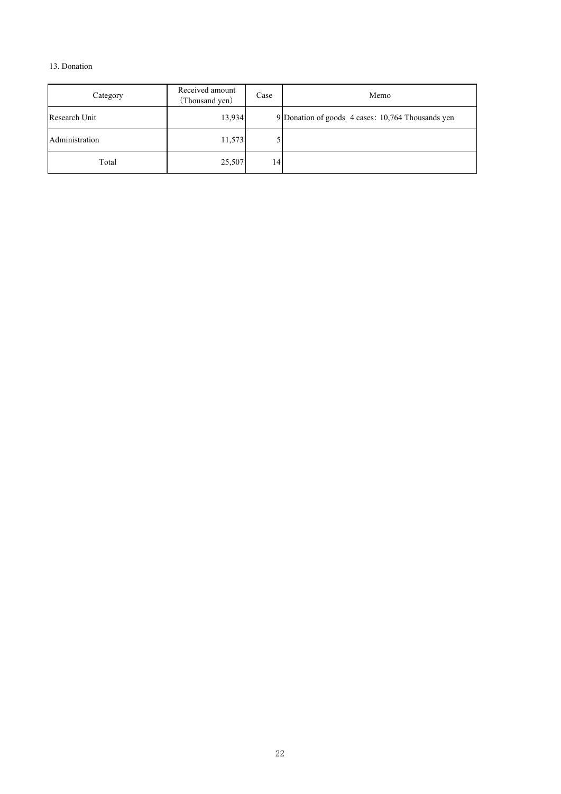## 13. Donation

| Category       | Received amount<br>(Thousand yen) | Case | Memo                                              |
|----------------|-----------------------------------|------|---------------------------------------------------|
| Research Unit  | 13,934                            |      | 9 Donation of goods 4 cases: 10,764 Thousands yen |
| Administration | 11,573                            |      |                                                   |
| Total          | 25,507                            | 14   |                                                   |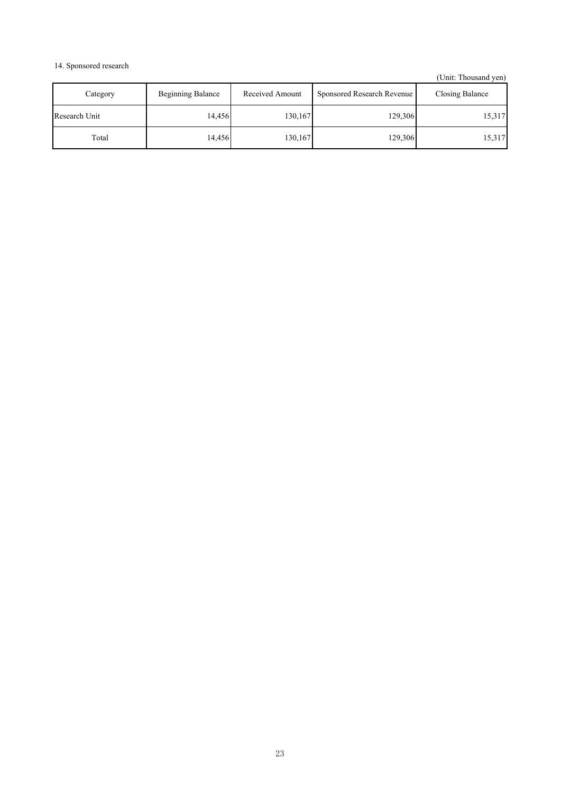## 14. Sponsored research

| Category      | <b>Beginning Balance</b> | Received Amount | Sponsored Research Revenue | Closing Balance |
|---------------|--------------------------|-----------------|----------------------------|-----------------|
| Research Unit | 14.456                   | 130,167         | 129,306                    | 15,317          |
| Total         | 14,456                   | 130,167         | 129,306                    | 15,317          |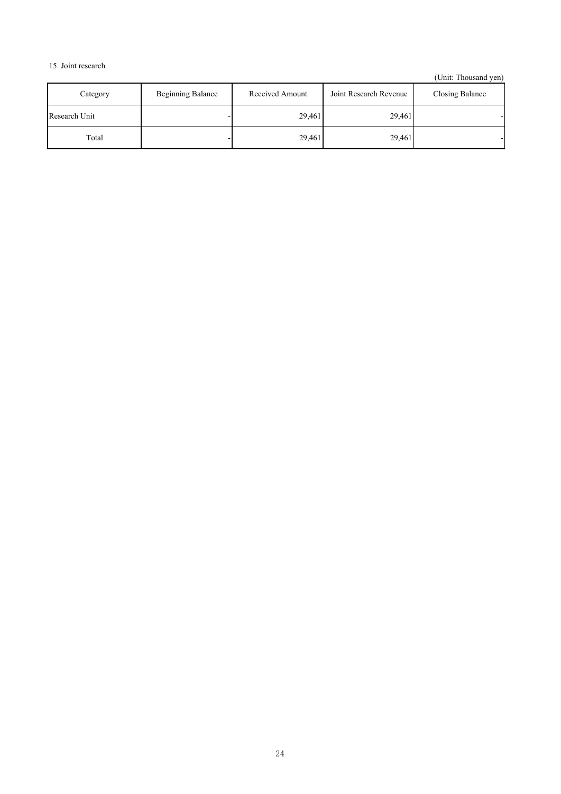# 15. Joint research

| Category      | <b>Beginning Balance</b> | Received Amount | Joint Research Revenue | Closing Balance |
|---------------|--------------------------|-----------------|------------------------|-----------------|
| Research Unit |                          | 29,461          | 29,461                 |                 |
| Total         |                          | 29.461          | 29,461                 |                 |